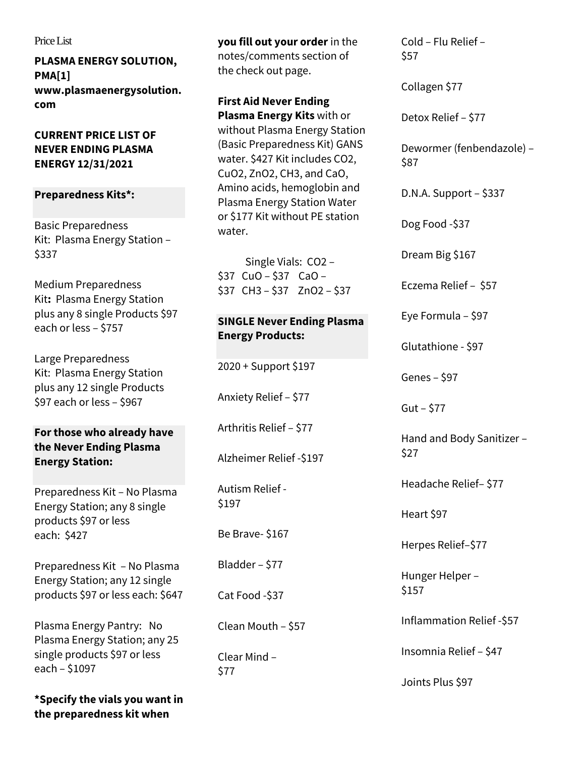#### Price List

**PLASMA ENERGY SOLUTION, PM[A\[1\]](https://plasmaenergysolution.com/?page_id=7217#_ftn1) www.plasmaenergysolution. com**

**CURRENT PRICE LIST OF NEVER ENDING PLASMA ENERGY 12/31/2021**

## **Preparedness Kits\*:**

[Basic Preparedness](https://plasmaenergysolution.com/?product=never-ending-plasma-energy-solution-basic-preparedness-kit-4-bpa-free-plastic-vials-or-2-pads)  Kit: [Plasma Energy Station](https://plasmaenergysolution.com/?product=never-ending-plasma-energy-solution-basic-preparedness-kit-4-bpa-free-plastic-vials-or-2-pads) – [\\$337](https://plasmaenergysolution.com/?product=never-ending-plasma-energy-solution-basic-preparedness-kit-4-bpa-free-plastic-vials-or-2-pads)

[Medium Preparedness](https://plasmaenergysolution.com/?product=never-ending-plasma-energy-solution-medium-preparedness-kit)  Kit**:** [Plasma Energy Station](https://plasmaenergysolution.com/?product=never-ending-plasma-energy-solution-medium-preparedness-kit)  [plus any 8 single Products \\$97](https://plasmaenergysolution.com/?product=never-ending-plasma-energy-solution-medium-preparedness-kit)  [each or less](https://plasmaenergysolution.com/?product=never-ending-plasma-energy-solution-medium-preparedness-kit) – \$757

[Large Preparedness](https://plasmaenergysolution.com/?product=never-ending-plasma-energy-solution-large-preparedness-kit)  Kit: [Plasma Energy Station](https://plasmaenergysolution.com/?product=never-ending-plasma-energy-solution-large-preparedness-kit)  [plus any 12 single Products](https://plasmaenergysolution.com/?product=never-ending-plasma-energy-solution-large-preparedness-kit)  [\\$97 each or less](https://plasmaenergysolution.com/?product=never-ending-plasma-energy-solution-large-preparedness-kit) – \$967

**For those who already have the Never Ending Plasma Energy Station:**

[Preparedness Kit](https://plasmaenergysolution.com/?product=never-ending-plasma-energy-solution-8-vial-preparedness-kit) – No Plasma [Energy Station; any 8 single](https://plasmaenergysolution.com/?product=never-ending-plasma-energy-solution-8-vial-preparedness-kit)  [products \\$97 or less](https://plasmaenergysolution.com/?product=never-ending-plasma-energy-solution-8-vial-preparedness-kit)  [each:](https://plasmaenergysolution.com/?product=never-ending-plasma-energy-solution-8-vial-preparedness-kit) \$427

[Preparedness Kit](https://plasmaenergysolution.com/?product=never-ending-plasma-energy-solution-12-vial-preparedness-kit) – No Plasma [Energy Station; any 12 single](https://plasmaenergysolution.com/?product=never-ending-plasma-energy-solution-12-vial-preparedness-kit)  [products \\$97 or less each: \\$647](https://plasmaenergysolution.com/?product=never-ending-plasma-energy-solution-12-vial-preparedness-kit)

[Plasma Energy Pantry: No](https://plasmaenergysolution.com/?product=never-ending-plasma-energy-pantry-preparedness-kit)  [Plasma Energy Station; any 25](https://plasmaenergysolution.com/?product=never-ending-plasma-energy-pantry-preparedness-kit)  [single products \\$97 or less](https://plasmaenergysolution.com/?product=never-ending-plasma-energy-pantry-preparedness-kit)  each – [\\$1097](https://plasmaenergysolution.com/?product=never-ending-plasma-energy-pantry-preparedness-kit)

**\*Specify the vials you want in the preparedness kit when** 

**you fill out your order** in the notes/comments section of the check out page.

**[First Aid Never Ending](https://plasmaenergysolution.com/?product=never-ending-first-aid-plasma-vials-147-one-vial-each-of-co2-cuo-zno-ch3-and-plasma-energy-station-water)  [Plasma Energy Kits](https://plasmaenergysolution.com/?product=never-ending-first-aid-plasma-vials-147-one-vial-each-of-co2-cuo-zno-ch3-and-plasma-energy-station-water)** with or without Plasma Energy Station (Basic Preparedness Kit) GANS water. \$427 Kit includes CO2, CuO2, ZnO2, CH3, and CaO, Amino acids, hemoglobin and Plasma Energy Station Water or [\\$177 Kit without PE station](https://plasmaenergysolution.com/?product=never-ending-first-aid-vials-or-pads-with-out-plasma-energy-station-water)  [water.](https://plasmaenergysolution.com/?product=never-ending-first-aid-vials-or-pads-with-out-plasma-energy-station-water)

 Single Vials: [CO2](https://plasmaenergysolution.com/?product=never-ending-plasma-energy-co2) – [\\$](https://plasmaenergysolution.com/?product=never-ending-plasma-energy-co2)[37 CuO](https://plasmaenergysolution.com/?product=carbon-dioxide) – \$37 [CaO](https://plasmaenergysolution.com/?product=calcium-oxide) – [\\$37](https://plasmaenergysolution.com/?product=calcium-oxide) [CH3](https://plasmaenergysolution.com/?product=carbon-hydrogen) – \$37 [ZnO2](https://plasmaenergysolution.com/?product=zinc-oxide) – \$37

# **SINGLE Never Ending Plasma Energy Products:**

[2020 + Support \\$197](https://plasmaenergysolution.com/?product=never-ending-plasma-energy-2020-support)

[Anxiety Relief](https://plasmaenergysolution.com/?product=never-ending-plasma-energy-anxiety-relief) – \$77

[Arthritis Relief](https://plasmaenergysolution.com/?product=never-ending-plasma-energy-arthritis-relief) – \$77

[Alzheimer Relief -\\$197](https://plasmaenergysolution.com/?product=never-ending-plasma-energy-alzheimer-relief)

[Autism Relief -](https://plasmaenergysolution.com/?product=autism-relief) [\\$197](https://plasmaenergysolution.com/?product=autism-relief) 

[Be Brave-](https://plasmaenergysolution.com/?product=be-brave) \$167

[Bladder](https://plasmaenergysolution.com/?product=never-ending-plasma-energy-healthy-bladder) – \$77

[Cat Food -\\$37](https://plasmaenergysolution.com/?product=never-ending-cat-food-plasma-energy-water)

[Clean Mouth](https://plasmaenergysolution.com/?product=never-ending-plasma-energy-clean-mouth) – \$57

[Clear Mind](https://plasmaenergysolution.com/?product=clear-mind) – [\\$77](https://plasmaenergysolution.com/?product=clear-mind) 

Cold – [Flu Relief](https://plasmaenergysolution.com/?product=never-ending-plasma-energy-cold-remedy-57) – [\\$57](https://plasmaenergysolution.com/?product=never-ending-plasma-energy-cold-remedy-57) 

[Collagen \\$77](https://plasmaenergysolution.com/?product=healthy-collagen) 

[Detox Relief](https://plasmaenergysolution.com/?product=never-ending-plasma-energy-detox-relief) – \$77

[Dewormer \(fenbendazole\)](https://plasmaenergysolution.com/?product=never-ending-plasma-energy-benzimidazole-dewormer) – [\\$87](https://plasmaenergysolution.com/?product=never-ending-plasma-energy-benzimidazole-dewormer)

[D.N.A. Support](https://plasmaenergysolution.com/?product=never-ending-plasma-energy-d-n-a-support) – \$337

[Dog Food -\\$37](https://plasmaenergysolution.com/?product=never-ending-dog-food-plasma-energy-water)

[Dream Big \\$167](https://plasmaenergysolution.com/?product=never-ending-plasma-energy-pauls-dream-big-plus-dr-pauls-last-private-video) 

[Eczema Relief](https://plasmaenergysolution.com/?product=never-ending-plasma-energy-eczema-relief) – \$57

[Eye Formula](https://plasmaenergysolution.com/?product=never-ending-plasma-energy-eye-drops-97) – \$97

Glutathione - \$97

[Genes](https://plasmaenergysolution.com/?product=healthy-genes) – \$97

[Gut](https://plasmaenergysolution.com/?product=never-ending-plasma-energy-healthy-gut-celery-gans) – \$77

[Hand and Body Sanitizer](https://plasmaenergysolution.com/?product=hand-sanitizer) – [\\$27](https://plasmaenergysolution.com/?product=hand-sanitizer) 

[Headache Relief](https://plasmaenergysolution.com/?product=never-ending-plasma-energy-headache-relief)– \$77

[Heart \\$97](https://plasmaenergysolution.com/?product=never-ending-plasma-energy-healthy-heart)

[Herpes Relief](https://plasmaenergysolution.com/?product=never-ending-plasma-energy-herpes-relief)–\$77

[Hunger Helper](https://plasmaenergysolution.com/?product=never-ending-plasma-energy-hunger-helper) – [\\$157](https://plasmaenergysolution.com/?product=never-ending-plasma-energy-hunger-helper) 

[Inflammation Relief -\\$57](https://plasmaenergysolution.com/?product=never-ending-plasma-energy-ancient-sacred-plant-inflammation-relief-vial-or-pads) 

[Insomnia Relief](https://plasmaenergysolution.com/?product=never-ending-plasma-energy-insomnia-formula-47-90-zno2-5-co2-4-plasma-energy-station-water-1-ch3-1-cuo2-drops-of-hemoglobin-and-amino-acids) – \$47

[Joints Plus \\$97](https://plasmaenergysolution.com/?product=healthy-joints-plus)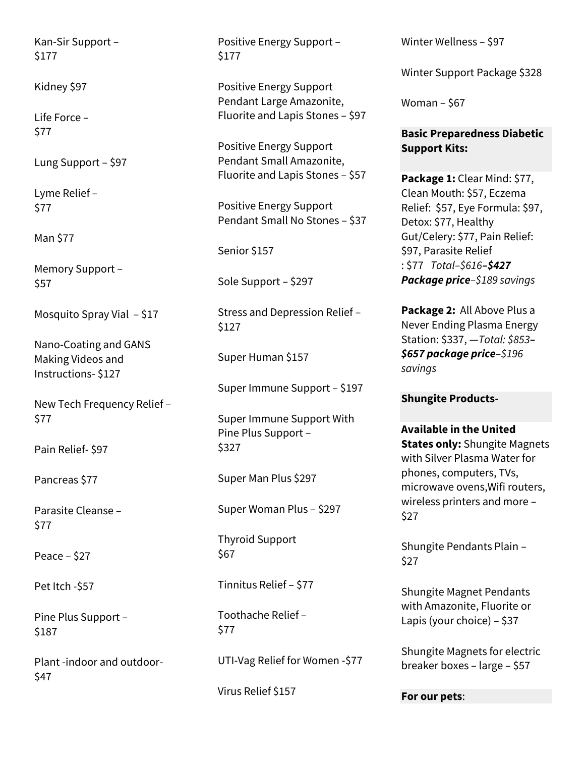[Kan-Sir Support](https://plasmaenergysolution.com/?product=kan-sir-support) – [\\$177](https://plasmaenergysolution.com/?product=kan-sir-support) 

[Kidney](https://plasmaenergysolution.com/?product=healthy-kidney) \$97

[Life Force](https://plasmaenergysolution.com/?product=never-ending-plasma-energy-life-force) – [\\$77](https://plasmaenergysolution.com/?product=never-ending-plasma-energy-life-force) 

[Lung Support](https://plasmaenergysolution.com/?product=never-ending-plasma-energy-lung-support) – \$97

[Lyme Relief](https://plasmaenergysolution.com/?product=lyme-relief) – [\\$77](https://plasmaenergysolution.com/?product=lyme-relief) 

[Man \\$77](https://plasmaenergysolution.com/?product=never-ending-plasma-energy-healthy-man) 

[Memory Support](https://plasmaenergysolution.com/?product=never-ending-plasma-energy-memory) – [\\$57](https://plasmaenergysolution.com/?product=never-ending-plasma-energy-memory) 

[Mosquito Spray Vial](https://plasmaenergysolution.com/?product=never-ending-plasma-energy-mosquito-repellant) – \$17

[Nano-Coating and GANS](https://plasmaenergysolution.com/?product=dr-pauls-nano-coating-and-gans-making-process-digital-product)  [Making Videos and](https://plasmaenergysolution.com/?product=dr-pauls-nano-coating-and-gans-making-process-digital-product)  [Instructions-](https://plasmaenergysolution.com/?product=dr-pauls-nano-coating-and-gans-making-process-digital-product) \$127

[New Tech Frequency Relief](https://plasmaenergysolution.com/?product=new-frequency-tech-relief) – [\\$77](https://plasmaenergysolution.com/?product=new-frequency-tech-relief) 

[Pain Relief-](https://plasmaenergysolution.com/?product=never-ending-plasma-energy-pain-relief) \$97

[Pancreas \\$77](https://plasmaenergysolution.com/?product=healthy-pancreas) 

[Parasite Cleanse](https://plasmaenergysolution.com/?product=never-ending-parasite-cleanse-77-purity-by-the-life-tree-wormwood-combination-by-kroeger-herbs-para-cleanse-by-banyon-botanicals) – [\\$77](https://plasmaenergysolution.com/?product=never-ending-parasite-cleanse-77-purity-by-the-life-tree-wormwood-combination-by-kroeger-herbs-para-cleanse-by-banyon-botanicals) 

[Peace](https://plasmaenergysolution.com/?product=never-ending-plasma-energy-peace) – \$27

[Pet Itch -\\$57](https://plasmaenergysolution.com/?product=never-ending-plasma-energy-pet-spray-for-itching-and-skin-odors-57-60-plasma-energy-station-water-39-zno-plus-1-ch3-and-hemoglobin-and-amino-acids) 

[Pine Plus Support](https://plasmaenergysolution.com/?product=pine-plus-support) – [\\$187](https://plasmaenergysolution.com/?product=pine-plus-support) 

[Plant -indoor and outdoor-](https://plasmaenergysolution.com/?product=never-ending-plasma-energy-for-plants-indoor-and-outdoor) \$47

[Positive Energy Support](https://plasmaenergysolution.com/?product=never-ending-positive-energy-support) – [\\$177](https://plasmaenergysolution.com/?product=never-ending-positive-energy-support) 

[Positive Energy Support](https://plasmaenergysolution.com/?product=positive-energy-support-pendant-large-amazonite-fluorite-and-lapis)  [Pendant Large Amazonite,](https://plasmaenergysolution.com/?product=positive-energy-support-pendant-large-amazonite-fluorite-and-lapis)  [Fluorite and Lapis Stones](https://plasmaenergysolution.com/?product=positive-energy-support-pendant-large-amazonite-fluorite-and-lapis) – \$97

[Positive Energy Support](https://plasmaenergysolution.com/?product=positive-energy-support-pendant-small-amazonite-fluorite-and-lapis)  [Pendant Small Amazonite,](https://plasmaenergysolution.com/?product=positive-energy-support-pendant-small-amazonite-fluorite-and-lapis)  [Fluorite and Lapis Stones](https://plasmaenergysolution.com/?product=positive-energy-support-pendant-small-amazonite-fluorite-and-lapis) – \$57

[Positive Energy Support](https://plasmaenergysolution.com/?product=positive-energy-support-pendant-small-plain-no-stones)  [Pendant Small No Stones](https://plasmaenergysolution.com/?product=positive-energy-support-pendant-small-plain-no-stones) – \$37

[Senior \\$157](https://plasmaenergysolution.com/?product=never-ending-plasma-energy-healthy-senior) 

[Sole Support](https://plasmaenergysolution.com/?product=sole-support) – \$297

[Stress and Depression Relief](https://plasmaenergysolution.com/?product=stress-and-depression-relief) – [\\$127](https://plasmaenergysolution.com/?product=stress-and-depression-relief)

[Super Human \\$157](https://plasmaenergysolution.com/?product=healthy-super-human)

[Super Immune Support](https://plasmaenergysolution.com/?product=super-immune-support) – \$197

[Super Immune Support With](https://plasmaenergysolution.com/?product=super-immune-support-with-pine-plus-support)  [Pine Plus Support](https://plasmaenergysolution.com/?product=super-immune-support-with-pine-plus-support) – [\\$327](https://plasmaenergysolution.com/?product=super-immune-support-with-pine-plus-support) 

[Super Man Plus \\$297](https://plasmaenergysolution.com/?product=super-man-plus)

[Super Woman Plus](https://plasmaenergysolution.com/?product=super-woman-plus) – \$297

[Thyroid Support](https://plasmaenergysolution.com/?product=thyroid-support)  [\\$67](https://plasmaenergysolution.com/?product=thyroid-support) 

[Tinnitus Relief](https://plasmaenergysolution.com/?product=never-ending-plasma-energy-tinnitus-relief) – \$77

[Toothache Relief](https://plasmaenergysolution.com/?product=never-ending-plasma-energy-toothache-relief) – [\\$77](https://plasmaenergysolution.com/?product=never-ending-plasma-energy-toothache-relief) 

[UTI-Vag Relief for Women -\\$77](https://plasmaenergysolution.com/?product=uti-vag-relief-for-women)

[Virus Relief \\$157](https://plasmaenergysolution.com/?product=never-ending-plasma-energy-virus-relief)

[Winter Wellness](https://plasmaenergysolution.com/?product=never-ending-plasma-energy-winter-wellness) – \$97

[Winter Support Package \\$328](https://plasmaenergysolution.com/?product=winter-support-package)

[Woman](https://plasmaenergysolution.com/?product=healthy-woman) – \$67

## **Basic Preparedness Diabetic Support Kits:**

**[Package 1:](https://plasmaenergysolution.com/?product=diabetes-package-2)** Clear Mind: \$77, Clean Mouth: \$57, Eczema Relief: \$57, Eye Formula: \$97, Detox: \$77, Healthy Gut/Celery: \$77, Pain Relief: \$97, Parasite Relief : \$77 *Total–\$616–\$427 Package price–\$189 savings*

**[Package 2:](https://plasmaenergysolution.com/?product=diabetes-package-1)** All Above Plus a Never Ending Plasma Energy Station: \$337, —*Total: \$853– \$657 package price–\$196 savings*

#### **Shungite Products-**

**Available in the United States only:** [Shungite Magnets](https://plasmaenergysolution.com/?product=magnets-shungite-silver-gans-for-phones-tvs-and-computers)  [with Silver Plasma Water for](https://plasmaenergysolution.com/?product=magnets-shungite-silver-gans-for-phones-tvs-and-computers)  [phones, computers, TVs,](https://plasmaenergysolution.com/?product=magnets-shungite-silver-gans-for-phones-tvs-and-computers)  [microwave ovens,Wifi routers,](https://plasmaenergysolution.com/?product=magnets-shungite-silver-gans-for-phones-tvs-and-computers)  [wireless printers and more](https://plasmaenergysolution.com/?product=magnets-shungite-silver-gans-for-phones-tvs-and-computers) – [\\$27](https://plasmaenergysolution.com/?product=magnets-shungite-silver-gans-for-phones-tvs-and-computers) 

[Shungite Pendants Plain](https://plasmaenergysolution.com/?product=shungite-pendant) – [\\$27](https://plasmaenergysolution.com/?product=shungite-pendant) 

[Shungite Magnet Pendants](https://plasmaenergysolution.com/?product=amazonite-pendant)  [with Amazonite, Fluorite](https://plasmaenergysolution.com/?product=amazonite-pendant) or [Lapis \(your choice\)](https://plasmaenergysolution.com/?product=amazonite-pendant) – \$37

[Shungite Magnets for electric](https://plasmaenergysolution.com/?product=magnet-for-electrical-breaker-boxes-for-the-home)  [breaker boxes](https://plasmaenergysolution.com/?product=magnet-for-electrical-breaker-boxes-for-the-home) – large – \$57

**For our pets**: